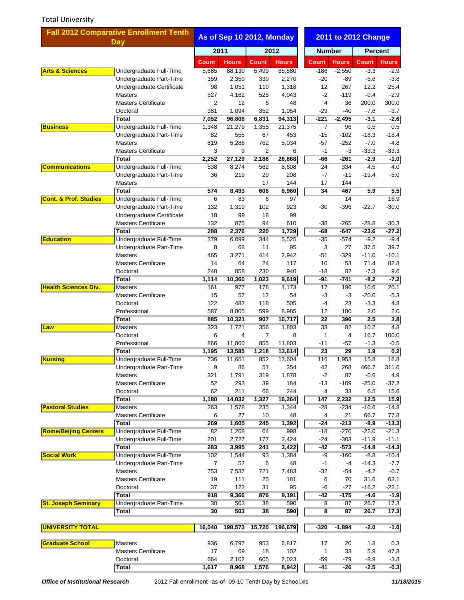## Total University

| <b>Fall 2012 Comparative Enrollment Tenth</b>                            |                                                    | As of Sep 10 2012, Monday |               |              |                  |                        |                  | <b>2011 to 2012 Change</b> |                    |  |
|--------------------------------------------------------------------------|----------------------------------------------------|---------------------------|---------------|--------------|------------------|------------------------|------------------|----------------------------|--------------------|--|
|                                                                          | <b>Day</b>                                         |                           | 2011<br>2012  |              |                  |                        | <b>Number</b>    |                            | <b>Percent</b>     |  |
|                                                                          |                                                    | <b>Count</b>              | <b>Hours</b>  | <b>Count</b> | <b>Hours</b>     | <b>Count</b>           | <b>Hours</b>     | <b>Count</b>               | <b>Hours</b>       |  |
| <b>Arts &amp; Sciences</b>                                               | Undergraduate Full-Time                            | 5,685                     | 88,130        | 5,499        | 85,580           | $-186$                 | $-2,550$         | $-3.3$                     | $-2.9$             |  |
| <b>Business</b>                                                          | Undergraduate Part-Time                            | 359                       | 2,359         | 339          | 2,270            | $-20$                  | $-89$            | $-5.6$                     | $-3.8$             |  |
|                                                                          | Undergraduate Certificate                          | 98                        | 1,051         | 110          | 1,318            | 12                     | 267              | 12.2                       | 25.4               |  |
|                                                                          | <b>Masters</b>                                     | 527                       | 4,162         | 525          | 4,043            | $-2$                   | $-119$           | $-0.4$                     | $-2.9$             |  |
|                                                                          | <b>Masters Certificate</b>                         | 2                         | 12            | 6            | 48               | 4                      | 36               | 200.0                      | 300.0              |  |
|                                                                          | Doctoral                                           | 381                       | 1,094         | 352          | 1,054            | -29                    | $-40$            | $-7.6$                     | $-3.7$             |  |
|                                                                          | <b>Total</b>                                       | 7,052                     | 96,808        | 6,831        | 94,313<br>21,375 | -221<br>$\overline{7}$ | $-2,495$         | $-3.1$                     | $-2.6$             |  |
|                                                                          | Undergraduate Full-Time<br>Undergraduate Part-Time | 1,348<br>82               | 21,279<br>555 | 1,355<br>67  | 453              | $-15$                  | 96<br>$-102$     | 0.5<br>$-18.3$             | 0.5<br>$-18.4$     |  |
|                                                                          | <b>Masters</b>                                     | 819                       | 5,286         | 762          | 5,034            | $-57$                  | $-252$           | $-7.0$                     | $-4.8$             |  |
|                                                                          | <b>Masters Certificate</b>                         | 3                         | 9             | 2            | 6                | $-1$                   | $-3$             | $-33.3$                    | $-33.3$            |  |
|                                                                          | <b>Total</b>                                       | 2,252                     | 27,129        | 2,186        | 26,868           | -66                    | $-261$           | $-2.9$                     | $-1.0$             |  |
| <b>Communications</b>                                                    | Undergraduate Full-Time                            | 538                       | 8,274         | 562          | 8,608            | 24                     | 334              | 4.5                        | 4.0                |  |
|                                                                          | Undergraduate Part-Time                            | 36                        | 219           | 29           | 208              | -7                     | $-11$            | $-19.4$                    | $-5.0$             |  |
|                                                                          | <b>Masters</b>                                     |                           |               | 17           | 144              | 17                     | 144              |                            |                    |  |
|                                                                          | <b>Total</b>                                       | 574                       | 8,493         | 608          | 8,960            | $\overline{34}$        | 467              | 5.9                        | 5.5                |  |
| <b>Cont. &amp; Prof. Studies</b>                                         | Undergraduate Full-Time                            | 6                         | 83            | 6            | 97               |                        | 14               |                            | 16.9               |  |
|                                                                          | Undergraduate Part-Time                            | 132                       | 1,319         | 102          | 923              | $-30$                  | $-396$           | $-22.7$                    | $-30.0$            |  |
|                                                                          | Undergraduate Certificate                          | 18                        | 99            | 18           | 99               |                        |                  |                            |                    |  |
|                                                                          | <b>Masters Certificate</b>                         | 132                       | 875           | 94           | 610              | -38                    | $-265$           | $-28.8$                    | $-30.3$            |  |
|                                                                          | <b>Total</b>                                       | 288                       | 2,376         | 220          | 1,729            | -68                    | -647             | $-23.6$                    | $-27.2$            |  |
| <b>Education</b>                                                         | Undergraduate Full-Time                            | 379                       | 6,099         | 344          | 5,525            | $-35$                  | $-574$           | $-9.2$                     | $-9.4$             |  |
|                                                                          | Undergraduate Part-Time                            | 8                         | 68            | 11           | 95               | 3                      | 27               | 37.5                       | 39.7               |  |
|                                                                          | <b>Masters</b>                                     | 465                       | 3,271         | 414          | 2,942            | $-51$                  | $-329$           | $-11.0$                    | $-10.1$            |  |
|                                                                          | <b>Masters Certificate</b>                         | 14                        | 64            | 24           | 117              | 10                     | 53               | 71.4                       | 82.8               |  |
|                                                                          | Doctoral                                           | 248                       | 858           | 230          | 940              | -18                    | 82               | $-7.3$                     | 9.6                |  |
|                                                                          | <b>Total</b>                                       | 1,114                     | 10,360        | 1,023        | 9,619            | $-91$                  | $-741$           | $-8.2$                     | $-7.2$             |  |
| <b>Health Sciences Div.</b>                                              | <b>Masters</b>                                     | 161                       | 977           | 178          | 1,173            | 17                     | 196              | 10.6<br>$-20.0$            | 20.1               |  |
|                                                                          | <b>Masters Certificate</b><br>Doctoral             | 15<br>122                 | 57<br>482     | 12<br>118    | 54<br>505        | -3<br>-4               | -3<br>23         | $-3.3$                     | $-5.3$<br>4.8      |  |
|                                                                          | Professional                                       | 587                       | 8,805         | 599          | 8,985            | 12                     | 180              | 2.0                        | 2.0                |  |
|                                                                          | <b>Total</b>                                       | 885                       | 10,321        | 907          | 10,717           | $\overline{22}$        | 396              | 2.5                        | 3.8                |  |
| Law                                                                      | <b>Masters</b>                                     | 323                       | 1,721         | 356          | 1,803            | 33                     | 82               | 10.2                       | 4.8                |  |
|                                                                          | Doctoral                                           | 6                         | 4             | 7            | 8                | 1                      | $\overline{4}$   | 16.7                       | 100.0              |  |
|                                                                          | Professional                                       | 866                       | 11,860        | 855          | 11,803           | -11                    | $-57$            | $-1.3$                     | $-0.5$             |  |
|                                                                          | <b>Total</b>                                       | 1,195                     | 13,585        | 1,218        | 13,614           | 23                     | 29               | 1.9                        | 0.2                |  |
| <b>Nursing</b><br><b>Pastoral Studies</b><br><b>Rome/Beijing Centers</b> | Undergraduate Full-Time                            | 736                       | 11,651        | 852          | 13,604           | 116                    | 1,953            | 15.8                       | 16.8               |  |
|                                                                          | Undergraduate Part-Time                            | 9                         | 86            | 51           | 354              | 42                     | 268              | 466.7                      | 311.6              |  |
|                                                                          | <b>Masters</b>                                     | 321                       | 1,791         | 319          | 1,878            | $-2$                   | 87               | $-0.6$                     | 4.9                |  |
|                                                                          | <b>Masters Certificate</b>                         | 52                        | 293           | 39           | 184              | $-13$                  | $-109$           | $-25.0$                    | $-37.2$            |  |
|                                                                          | Doctoral                                           | 62                        | 211           | 66           | 244              | 4                      | 33               | 6.5                        | 15.6               |  |
|                                                                          | <b>Total</b>                                       | 1,180                     | 14,032        | 1,327        | 16,264           | 147                    | 2,232            | 12.5                       | 15.9               |  |
|                                                                          | Masters                                            | 263                       | 1,578         | 235          | 1,344            | -28                    | $-234$           | $-10.6$                    | $-14.8$            |  |
|                                                                          | <b>Masters Certificate</b>                         | 6                         | 27            | 10           | 48               | 4                      | 21               | 66.7                       | 77.8               |  |
|                                                                          | <b>Total</b>                                       | 269                       | 1,605         | 245          | 1,392            | $-24$                  | $-213$           | $-8.9$                     | $-13.3$            |  |
|                                                                          | Undergraduate Full-Time                            | 82                        | 1,268         | 64           | 998              | -18                    | $-270$           | $-22.0$                    | $-21.3$            |  |
|                                                                          | Undergraduate Full-Time                            | 201<br>283                | 2,727         | 177          | 2,424            | -24<br>$-42$           | $-303$           | $-11.9$                    | $-11.1$            |  |
| <b>Social Work</b>                                                       | Total<br>Undergraduate Full-Time                   | 102                       | 3,995         | 241          | 3,422            | -9                     | $-573$<br>$-160$ | $-14.8$<br>$-8.8$          | $-14.3$<br>$-10.4$ |  |
|                                                                          | Undergraduate Part-Time                            | $\overline{7}$            | 1,544<br>52   | 93<br>6      | 1,384<br>48      | $-1$                   | $-4$             | $-14.3$                    | $-7.7$             |  |
|                                                                          | <b>Masters</b>                                     | 753                       | 7,537         | 721          | 7,483            | -32                    | -54              | $-4.2$                     | $-0.7$             |  |
|                                                                          | <b>Masters Certificate</b>                         | 19                        | 111           | 25           | 181              | 6                      | 70               | 31.6                       | 63.1               |  |
|                                                                          | Doctoral                                           | 37                        | 122           | 31           | 95               | -6                     | $-27$            | $-16.2$                    | -22.1              |  |
|                                                                          | Total                                              | 918                       | 9,366         | 876          | 9,191            | -42                    | $-175$           | -4.6                       | $-1.9$             |  |
| <b>St. Joseph Seminary</b>                                               | Undergraduate Part-Time                            | 30                        | 503           | 38           | 590              | 8                      | 87               | 26.7                       | 17.3               |  |
|                                                                          | Total                                              | 30                        | 503           | 38           | 590              | 8                      | 87               | 26.7                       | 17.3               |  |
|                                                                          |                                                    |                           |               |              |                  |                        |                  |                            |                    |  |
| <b>UNIVERSITY TOTAL</b>                                                  |                                                    | 16,040                    | 198,573       | 15,720       | 196,679          | $-320$                 | $-1,894$         | $-2.0$                     | $-1.0$             |  |
| <b>Graduate School</b>                                                   | <b>Masters</b>                                     | 936                       | 6,797         | 953          | 6,817            | 17                     | 20               | 1.8                        | 0.3                |  |
|                                                                          | <b>Masters Certificate</b>                         | 17                        | 69            | 18           | 102              | 1                      | 33               | 5.9                        | 47.8               |  |
|                                                                          | Doctoral                                           | 664                       | 2,102         | 605          | 2,023            | $-59$                  | $-79$            | $-8.9$                     | $-3.8$             |  |
|                                                                          | <b>Total</b>                                       | 1,617                     | 8,968         | 1,576        | 8,942            | -41                    | $-26$            | $-2.5$                     | $-0.3$             |  |
|                                                                          |                                                    |                           |               |              |                  |                        |                  |                            |                    |  |